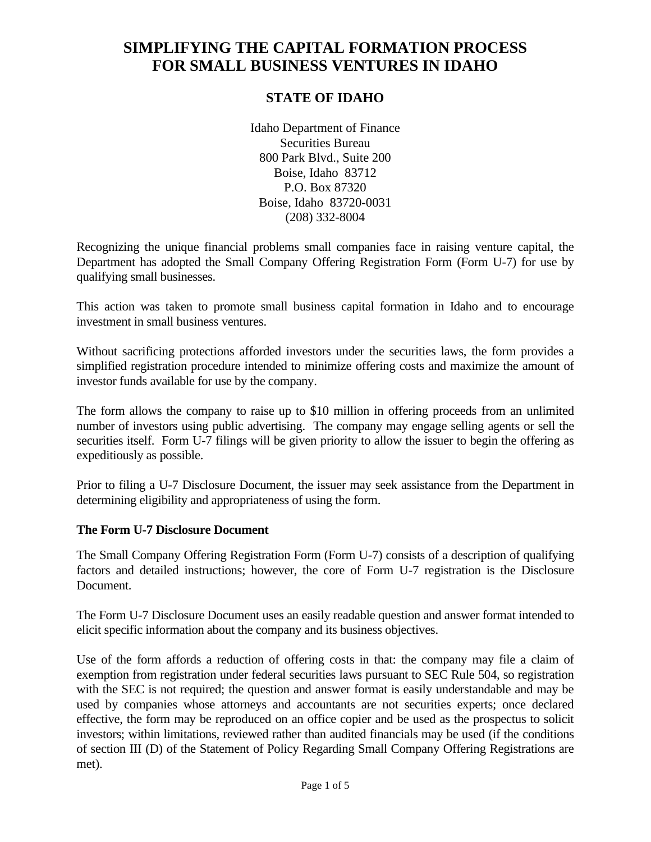# **SIMPLIFYING THE CAPITAL FORMATION PROCESS FOR SMALL BUSINESS VENTURES IN IDAHO**

# **STATE OF IDAHO**

Idaho Department of Finance Securities Bureau 800 Park Blvd., Suite 200 Boise, Idaho 83712 P.O. Box 87320 Boise, Idaho 83720-0031 (208) 332-8004

Recognizing the unique financial problems small companies face in raising venture capital, the Department has adopted the Small Company Offering Registration Form (Form U-7) for use by qualifying small businesses.

This action was taken to promote small business capital formation in Idaho and to encourage investment in small business ventures.

Without sacrificing protections afforded investors under the securities laws, the form provides a simplified registration procedure intended to minimize offering costs and maximize the amount of investor funds available for use by the company.

The form allows the company to raise up to \$10 million in offering proceeds from an unlimited number of investors using public advertising. The company may engage selling agents or sell the securities itself. Form U-7 filings will be given priority to allow the issuer to begin the offering as expeditiously as possible.

Prior to filing a U-7 Disclosure Document, the issuer may seek assistance from the Department in determining eligibility and appropriateness of using the form.

#### **The Form U-7 Disclosure Document**

The Small Company Offering Registration Form (Form U-7) consists of a description of qualifying factors and detailed instructions; however, the core of Form U-7 registration is the Disclosure Document.

The Form U-7 Disclosure Document uses an easily readable question and answer format intended to elicit specific information about the company and its business objectives.

Use of the form affords a reduction of offering costs in that: the company may file a claim of exemption from registration under federal securities laws pursuant to SEC Rule 504, so registration with the SEC is not required; the question and answer format is easily understandable and may be used by companies whose attorneys and accountants are not securities experts; once declared effective, the form may be reproduced on an office copier and be used as the prospectus to solicit investors; within limitations, reviewed rather than audited financials may be used (if the conditions of section III (D) of the Statement of Policy Regarding Small Company Offering Registrations are met).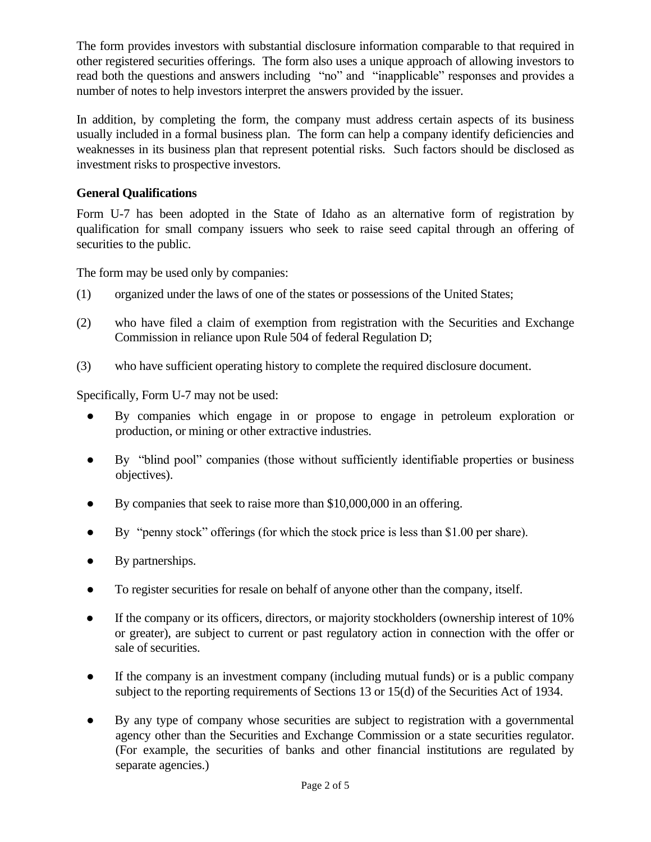The form provides investors with substantial disclosure information comparable to that required in other registered securities offerings. The form also uses a unique approach of allowing investors to read both the questions and answers including "no" and "inapplicable" responses and provides a number of notes to help investors interpret the answers provided by the issuer.

In addition, by completing the form, the company must address certain aspects of its business usually included in a formal business plan. The form can help a company identify deficiencies and weaknesses in its business plan that represent potential risks. Such factors should be disclosed as investment risks to prospective investors.

# **General Qualifications**

Form U-7 has been adopted in the State of Idaho as an alternative form of registration by qualification for small company issuers who seek to raise seed capital through an offering of securities to the public.

The form may be used only by companies:

- (1) organized under the laws of one of the states or possessions of the United States;
- (2) who have filed a claim of exemption from registration with the Securities and Exchange Commission in reliance upon Rule 504 of federal Regulation D;
- (3) who have sufficient operating history to complete the required disclosure document.

Specifically, Form U-7 may not be used:

- By companies which engage in or propose to engage in petroleum exploration or production, or mining or other extractive industries.
- By "blind pool" companies (those without sufficiently identifiable properties or business objectives).
- By companies that seek to raise more than \$10,000,000 in an offering.
- By "penny stock" offerings (for which the stock price is less than \$1.00 per share).
- By partnerships.
- To register securities for resale on behalf of anyone other than the company, itself.
- If the company or its officers, directors, or majority stockholders (ownership interest of 10%) or greater), are subject to current or past regulatory action in connection with the offer or sale of securities.
- If the company is an investment company (including mutual funds) or is a public company subject to the reporting requirements of Sections 13 or 15(d) of the Securities Act of 1934.
- By any type of company whose securities are subject to registration with a governmental agency other than the Securities and Exchange Commission or a state securities regulator. (For example, the securities of banks and other financial institutions are regulated by separate agencies.)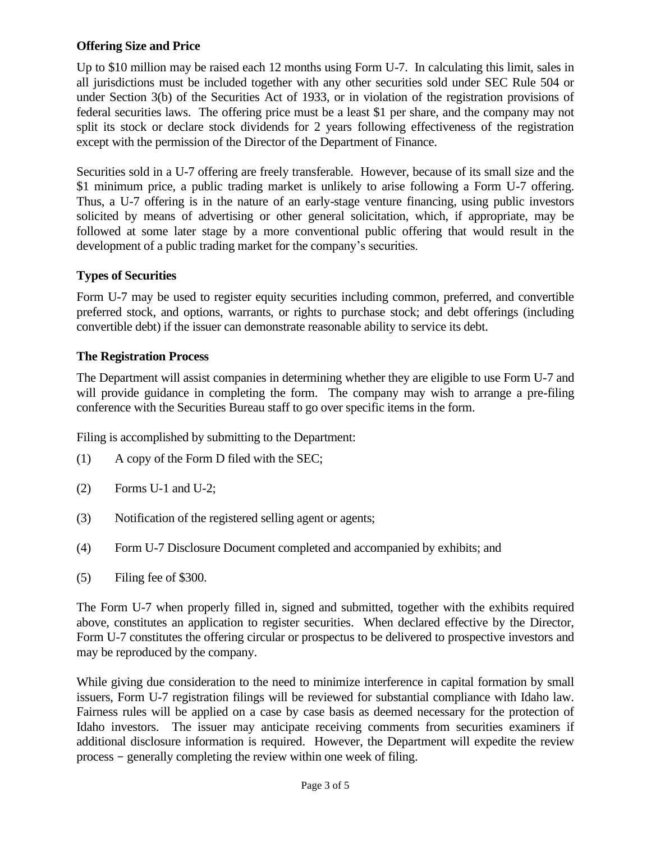#### **Offering Size and Price**

Up to \$10 million may be raised each 12 months using Form U-7. In calculating this limit, sales in all jurisdictions must be included together with any other securities sold under SEC Rule 504 or under Section 3(b) of the Securities Act of 1933, or in violation of the registration provisions of federal securities laws. The offering price must be a least \$1 per share, and the company may not split its stock or declare stock dividends for 2 years following effectiveness of the registration except with the permission of the Director of the Department of Finance.

Securities sold in a U-7 offering are freely transferable. However, because of its small size and the \$1 minimum price, a public trading market is unlikely to arise following a Form U-7 offering. Thus, a U-7 offering is in the nature of an early-stage venture financing, using public investors solicited by means of advertising or other general solicitation, which, if appropriate, may be followed at some later stage by a more conventional public offering that would result in the development of a public trading market for the company's securities.

# **Types of Securities**

Form U-7 may be used to register equity securities including common, preferred, and convertible preferred stock, and options, warrants, or rights to purchase stock; and debt offerings (including convertible debt) if the issuer can demonstrate reasonable ability to service its debt.

### **The Registration Process**

The Department will assist companies in determining whether they are eligible to use Form U-7 and will provide guidance in completing the form. The company may wish to arrange a pre-filing conference with the Securities Bureau staff to go over specific items in the form.

Filing is accomplished by submitting to the Department:

- (1) A copy of the Form D filed with the SEC;
- $(2)$  Forms U-1 and U-2;
- (3) Notification of the registered selling agent or agents;
- (4) Form U-7 Disclosure Document completed and accompanied by exhibits; and
- (5) Filing fee of \$300.

The Form U-7 when properly filled in, signed and submitted, together with the exhibits required above, constitutes an application to register securities. When declared effective by the Director, Form U-7 constitutes the offering circular or prospectus to be delivered to prospective investors and may be reproduced by the company.

While giving due consideration to the need to minimize interference in capital formation by small issuers, Form U-7 registration filings will be reviewed for substantial compliance with Idaho law. Fairness rules will be applied on a case by case basis as deemed necessary for the protection of Idaho investors. The issuer may anticipate receiving comments from securities examiners if additional disclosure information is required. However, the Department will expedite the review process - generally completing the review within one week of filing.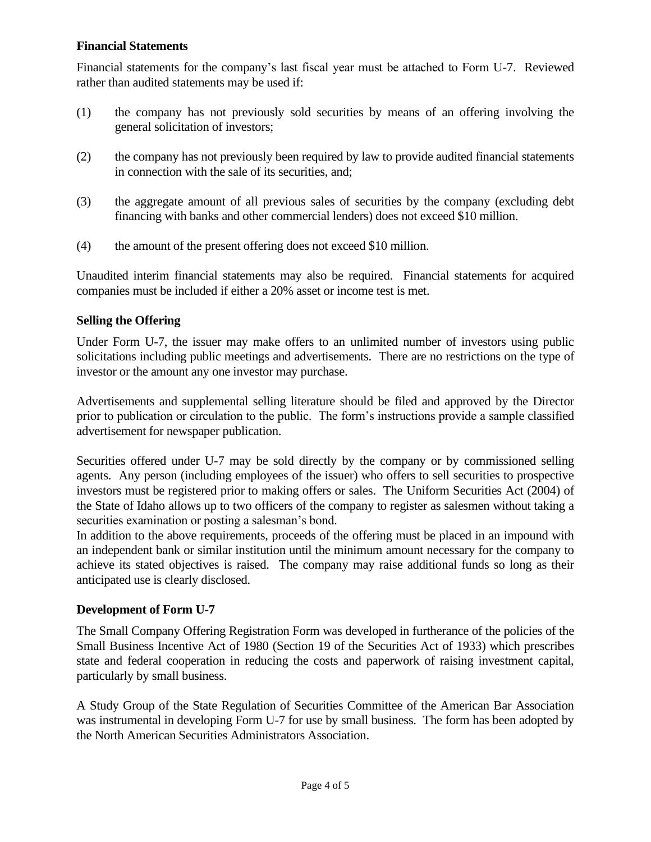#### **Financial Statements**

Financial statements for the company's last fiscal year must be attached to Form U-7. Reviewed rather than audited statements may be used if:

- (1) the company has not previously sold securities by means of an offering involving the general solicitation of investors;
- (2) the company has not previously been required by law to provide audited financial statements in connection with the sale of its securities, and;
- (3) the aggregate amount of all previous sales of securities by the company (excluding debt financing with banks and other commercial lenders) does not exceed \$10 million.
- (4) the amount of the present offering does not exceed \$10 million.

Unaudited interim financial statements may also be required. Financial statements for acquired companies must be included if either a 20% asset or income test is met.

### **Selling the Offering**

Under Form U-7, the issuer may make offers to an unlimited number of investors using public solicitations including public meetings and advertisements. There are no restrictions on the type of investor or the amount any one investor may purchase.

Advertisements and supplemental selling literature should be filed and approved by the Director prior to publication or circulation to the public. The form's instructions provide a sample classified advertisement for newspaper publication.

Securities offered under U-7 may be sold directly by the company or by commissioned selling agents. Any person (including employees of the issuer) who offers to sell securities to prospective investors must be registered prior to making offers or sales. The Uniform Securities Act (2004) of the State of Idaho allows up to two officers of the company to register as salesmen without taking a securities examination or posting a salesman's bond.

In addition to the above requirements, proceeds of the offering must be placed in an impound with an independent bank or similar institution until the minimum amount necessary for the company to achieve its stated objectives is raised. The company may raise additional funds so long as their anticipated use is clearly disclosed.

# **Development of Form U-7**

The Small Company Offering Registration Form was developed in furtherance of the policies of the Small Business Incentive Act of 1980 (Section 19 of the Securities Act of 1933) which prescribes state and federal cooperation in reducing the costs and paperwork of raising investment capital, particularly by small business.

A Study Group of the State Regulation of Securities Committee of the American Bar Association was instrumental in developing Form U-7 for use by small business. The form has been adopted by the North American Securities Administrators Association.